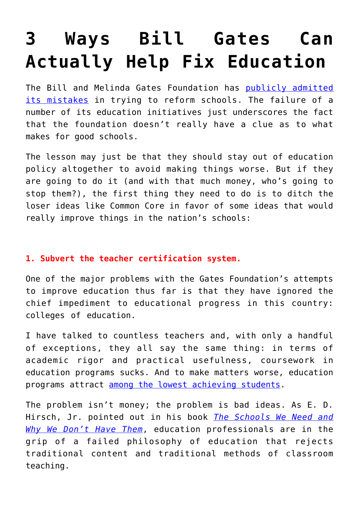## **[3 Ways Bill Gates Can](https://intellectualtakeout.org/2017/11/3-ways-bill-gates-can-actually-help-fix-education/) [Actually Help Fix Education](https://intellectualtakeout.org/2017/11/3-ways-bill-gates-can-actually-help-fix-education/)**

The Bill and Melinda Gates Foundation has [publicly admitted](http://www.latimes.com/opinion/editorials/la-ed-gates-education-20160601-snap-story.html) [its mistakes](http://www.latimes.com/opinion/editorials/la-ed-gates-education-20160601-snap-story.html) in trying to reform schools. The failure of a number of its education initiatives just underscores the fact that the foundation doesn't really have a clue as to what makes for good schools.

The lesson may just be that they should stay out of education policy altogether to avoid making things worse. But if they are going to do it (and with that much money, who's going to stop them?), the first thing they need to do is to ditch the loser ideas like Common Core in favor of some ideas that would really improve things in the nation's schools:

## **1. Subvert the teacher certification system.**

One of the major problems with the Gates Foundation's attempts to improve education thus far is that they have ignored the chief impediment to educational progress in this country: colleges of education.

I have talked to countless teachers and, with only a handful of exceptions, they all say the same thing: in terms of academic rigor and practical usefulness, coursework in education programs sucks. And to make matters worse, education programs attract [among the lowest achieving students](https://qz.com/334926/your-college-major-is-a-pretty-good-indication-of-how-smart-you-are/).

The problem isn't money; the problem is bad ideas. As E. D. Hirsch, Jr. pointed out in his book *[The Schools We Need and](http://amzn.to/2zslXyq) [Why We Don't Have Them](http://amzn.to/2zslXyq)*, education professionals are in the grip of a failed philosophy of education that rejects traditional content and traditional methods of classroom teaching.